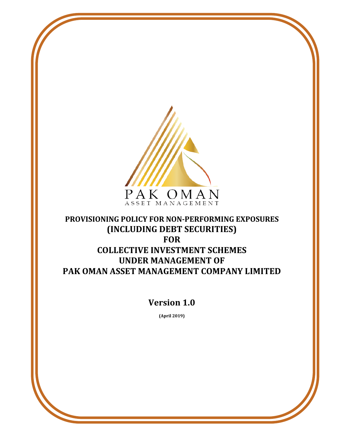

## **PROVISIONING POLICY FOR NON-PERFORMING EXPOSURES (INCLUDING DEBT SECURITIES) FOR COLLECTIVE INVESTMENT SCHEMES UNDER MANAGEMENT OF PAK OMAN ASSET MANAGEMENT COMPANY LIMITED**

# **Version 1.0**

**(April 2019)**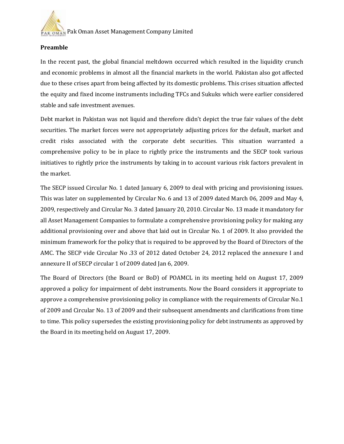

## **Preamble**

In the recent past, the global financial meltdown occurred which resulted in the liquidity crunch and economic problems in almost all the financial markets in the world. Pakistan also got affected due to these crises apart from being affected by its domestic problems. This crises situation affected the equity and fixed income instruments including TFCs and Sukuks which were earlier considered stable and safe investment avenues.

Debt market in Pakistan was not liquid and therefore didn't depict the true fair values of the debt securities. The market forces were not appropriately adjusting prices for the default, market and credit risks associated with the corporate debt securities. This situation warranted a comprehensive policy to be in place to rightly price the instruments and the SECP took various initiatives to rightly price the instruments by taking in to account various risk factors prevalent in the market.

The SECP issued Circular No. 1 dated January 6, 2009 to deal with pricing and provisioning issues. This was later on supplemented by Circular No. 6 and 13 of 2009 dated March 06, 2009 and May 4, 2009, respectively and Circular No. 3 dated January 20, 2010. Circular No. 13 made it mandatory for all Asset Management Companies to formulate a comprehensive provisioning policy for making any additional provisioning over and above that laid out in Circular No. 1 of 2009. It also provided the minimum framework for the policy that is required to be approved by the Board of Directors of the AMC. The SECP vide Circular No .33 of 2012 dated October 24, 2012 replaced the annexure I and annexure II of SECP circular 1 of 2009 dated Jan 6, 2009.

The Board of Directors (the Board or BoD) of POAMCL in its meeting held on August 17, 2009 approved a policy for impairment of debt instruments. Now the Board considers it appropriate to approve a comprehensive provisioning policy in compliance with the requirements of Circular No.1 of 2009 and Circular No. 13 of 2009 and their subsequent amendments and clarifications from time to time. This policy supersedes the existing provisioning policy for debt instruments as approved by the Board in its meeting held on August 17, 2009.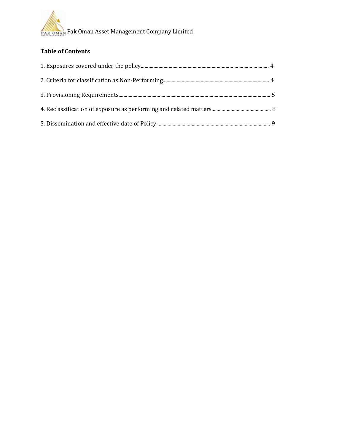

## **Table of Contents**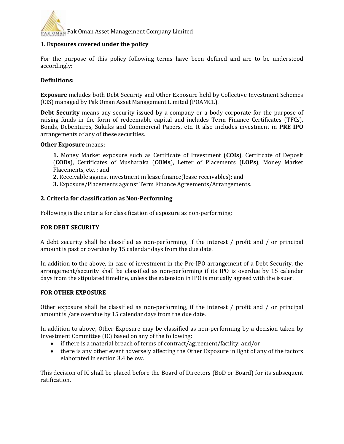

## **1. Exposures covered under the policy**

For the purpose of this policy following terms have been defined and are to be understood accordingly:

#### **Definitions:**

**Exposure** includes both Debt Security and Other Exposure held by Collective Investment Schemes (CIS) managed by Pak Oman Asset Management Limited (POAMCL).

**Debt Security** means any security issued by a company or a body corporate for the purpose of raising funds in the form of redeemable capital and includes Term Finance Certificates (TFCs), Bonds, Debentures, Sukuks and Commercial Papers, etc. It also includes investment in **PRE IPO**  arrangements of any of these securities.

#### **Other Exposure** means:

**1.** Money Market exposure such as Certificate of Investment (**COIs**), Certificate of Deposit (**CODs**), Certificates of Musharaka (**COMs**), Letter of Placements (**LOPs**), Money Market Placements, etc. ; and

**2.** Receivable against investment in lease finance(lease receivables); and

**3.** Exposure/Placements against Term Finance Agreements/Arrangements.

#### **2. Criteria for classification as Non-Performing**

Following is the criteria for classification of exposure as non-performing:

#### **FOR DEBT SECURITY**

A debt security shall be classified as non-performing, if the interest / profit and / or principal amount is past or overdue by 15 calendar days from the due date.

In addition to the above, in case of investment in the Pre-IPO arrangement of a Debt Security, the arrangement/security shall be classified as non-performing if its IPO is overdue by 15 calendar days from the stipulated timeline, unless the extension in IPO is mutually agreed with the issuer.

#### **FOR OTHER EXPOSURE**

Other exposure shall be classified as non-performing, if the interest / profit and / or principal amount is /are overdue by 15 calendar days from the due date.

In addition to above, Other Exposure may be classified as non-performing by a decision taken by Investment Committee (IC) based on any of the following:

- if there is a material breach of terms of contract/agreement/facility; and/or<br>• there is any other event adversely affecting the Other Exposure in light of an
- there is any other event adversely affecting the Other Exposure in light of any of the factors elaborated in section 3.4 below.

This decision of IC shall be placed before the Board of Directors (BoD or Board) for its subsequent ratification.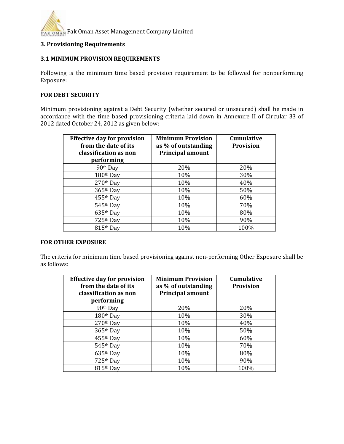

#### **3. Provisioning Requirements**

## **3.1 MINIMUM PROVISION REQUIREMENTS**

Following is the minimum time based provision requirement to be followed for nonperforming Exposure:

#### **FOR DEBT SECURITY**

Minimum provisioning against a Debt Security (whether secured or unsecured) shall be made in accordance with the time based provisioning criteria laid down in Annexure II of Circular 33 of 2012 dated October 24, 2012 as given below:

| <b>Effective day for provision</b><br>from the date of its<br>classification as non<br>performing | <b>Minimum Provision</b><br>as % of outstanding<br><b>Principal amount</b> | <b>Cumulative</b><br><b>Provision</b> |
|---------------------------------------------------------------------------------------------------|----------------------------------------------------------------------------|---------------------------------------|
| 90 <sup>th</sup> Day                                                                              | 20%                                                                        | 20%                                   |
| 180 <sup>th</sup> Day                                                                             | 10%                                                                        | 30%                                   |
| 270th Day                                                                                         | 10%                                                                        | 40%                                   |
| 365th Day                                                                                         | 10%                                                                        | 50%                                   |
| 455th Day                                                                                         | 10%                                                                        | 60%                                   |
| 545th Day                                                                                         | 10%                                                                        | 70%                                   |
| 635th Day                                                                                         | 10%                                                                        | 80%                                   |
| 725th Day                                                                                         | 10%                                                                        | 90%                                   |
| 815th Day                                                                                         | 10%                                                                        | 100%                                  |

## **FOR OTHER EXPOSURE**

The criteria for minimum time based provisioning against non-performing Other Exposure shall be as follows:

| <b>Effective day for provision</b><br>from the date of its<br>classification as non<br>performing | <b>Minimum Provision</b><br>as % of outstanding<br><b>Principal amount</b> | <b>Cumulative</b><br><b>Provision</b> |
|---------------------------------------------------------------------------------------------------|----------------------------------------------------------------------------|---------------------------------------|
| 90 <sup>th</sup> Day                                                                              | 20%                                                                        | 20%                                   |
| 180 <sup>th</sup> Day                                                                             | 10%                                                                        | 30%                                   |
| 270th Day                                                                                         | 10%                                                                        | 40%                                   |
| 365th Day                                                                                         | 10%                                                                        | 50%                                   |
| 455th Day                                                                                         | 10%                                                                        | 60%                                   |
| 545th Day                                                                                         | 10%                                                                        | 70%                                   |
| 635th Day                                                                                         | 10%                                                                        | 80%                                   |
| 725th Day                                                                                         | 10%                                                                        | 90%                                   |
| 815th Day                                                                                         | 10%                                                                        | 100%                                  |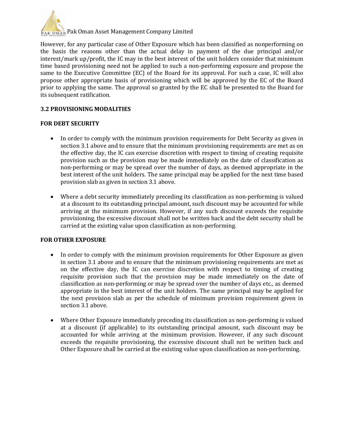

Pak Oman Asset Management Company Limited

However, for any particular case of Other Exposure which has been classified as nonperforming on the basis the reasons other than the actual delay in payment of the due principal and/or interest/mark up/profit, the IC may in the best interest of the unit holders consider that minimum time based provisioning need not be applied to such a non-performing exposure and propose the same to the Executive Committee (EC) of the Board for its approval. For such a case, IC will also propose other appropriate basis of provisioning which will be approved by the EC of the Board prior to applying the same. The approval so granted by the EC shall be presented to the Board for its subsequent ratification.

## **3.2 PROVISIONING MODALITIES**

## **FOR DEBT SECURITY**

- In order to comply with the minimum provision requirements for Debt Security as given in section 3.1 above and to ensure that the minimum provisioning requirements are met as on the effective day, the IC can exercise discretion with respect to timing of creating requisite provision such as the provision may be made immediately on the date of classification as non-performing or may be spread over the number of days, as deemed appropriate in the best interest of the unit holders. The same principal may be applied for the next time based provision slab as given in section 3.1 above.
- Where a debt security immediately preceding its classification as non-performing is valued at a discount to its outstanding principal amount, such discount may be accounted for while arriving at the minimum provision. However, if any such discount exceeds the requisite provisioning, the excessive discount shall not be written back and the debt security shall be carried at the existing value upon classification as non-performing.

#### **FOR OTHER EXPOSURE**

- In order to comply with the minimum provision requirements for Other Exposure as given in section 3.1 above and to ensure that the minimum provisioning requirements are met as on the effective day, the IC can exercise discretion with respect to timing of creating requisite provision such that the provision may be made immediately on the date of classification as non-performing or may be spread over the number of days etc., as deemed appropriate in the best interest of the unit holders. The same principal may be applied for the next provision slab as per the schedule of minimum provision requirement given in section 3.1 above.
- Where Other Exposure immediately preceding its classification as non-performing is valued at a discount (if applicable) to its outstanding principal amount, such discount may be accounted for while arriving at the minimum provision. However, if any such discount exceeds the requisite provisioning, the excessive discount shall not be written back and Other Exposure shall be carried at the existing value upon classification as non-performing.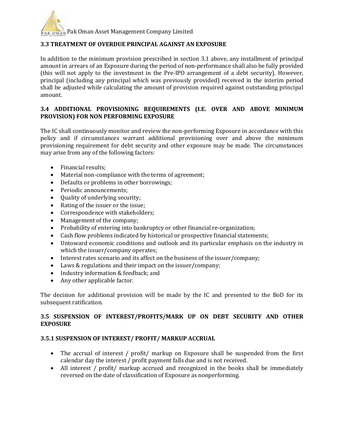

## **3.3 TREATMENT OF OVERDUE PRINCIPAL AGAINST AN EXPOSURE**

In addition to the minimum provision prescribed in section 3.1 above, any installment of principal amount in arrears of an Exposure during the period of non-performance shall also be fully provided (this will not apply to the investment in the Pre-IPO arrangement of a debt security). However, principal (including any principal which was previously provided) received in the interim period shall be adjusted while calculating the amount of provision required against outstanding principal amount.

## **3.4 ADDITIONAL PROVISIONING REQUIREMENTS (I.E. OVER AND ABOVE MINIMUM PROVISION) FOR NON PERFORMING EXPOSURE**

The IC shall continuously monitor and review the non-performing Exposure in accordance with this policy and if circumstances warrant additional provisioning over and above the minimum provisioning requirement for debt security and other exposure may be made. The circumstances may arise from any of the following factors:

- Financial results;
- Material non-compliance with the terms of agreement;
- Defaults or problems in other borrowings;
- Periodic announcements:
- Quality of underlying security;
- Rating of the issuer or the issue;
- Correspondence with stakeholders;
- Management of the company;
- Probability of entering into bankruptcy or other financial re-organization;
- Cash flow problems indicated by historical or prospective financial statements;
- Untoward economic conditions and outlook and its particular emphasis on the industry in which the issuer/company operates;
- Interest rates scenario and its affect on the business of the issuer/company;
- Laws & regulations and their impact on the issuer/company;
- Industry information & feedback; and
- Any other applicable factor.

The decision for additional provision will be made by the IC and presented to the BoD for its subsequent ratification.

## **3.5 SUSPENSION OF INTEREST/PROFITS/MARK UP ON DEBT SECURITY AND OTHER EXPOSURE**

## **3.5.1 SUSPENSION OF INTEREST/ PROFIT/ MARKUP ACCRUAL**

- The accrual of interest / profit/ markup on Exposure shall be suspended from the first calendar day the interest / profit payment falls due and is not received.
- All interest / profit/ markup accrued and recognized in the books shall be immediately reversed on the date of classification of Exposure as nonperforming.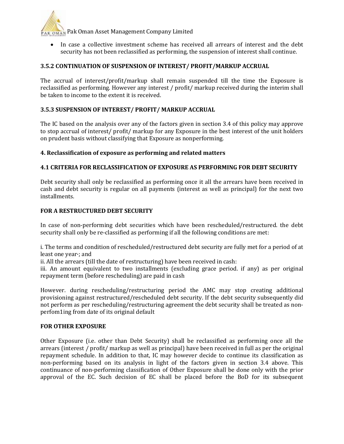

• In case a collective investment scheme has received all arrears of interest and the debt security has not been reclassified as performing, the suspension of interest shall continue.

## **3.5.2 CONTINUATION OF SUSPENSION OF INTEREST/ PROFIT/MARKUP ACCRUAL**

The accrual of interest/profit/markup shall remain suspended till the time the Exposure is reclassified as performing. However any interest / profit/ markup received during the interim shall be taken to income to the extent it is received.

#### **3.5.3 SUSPENSION OF INTEREST/ PROFIT/ MARKUP ACCRUAL**

The IC based on the analysis over any of the factors given in section 3.4 of this policy may approve to stop accrual of interest/ profit/ markup for any Exposure in the best interest of the unit holders on prudent basis without classifying that Exposure as nonperforming.

#### **4. Reclassification of exposure as performing and related matters**

#### **4.1 CRITERIA FOR RECLASSIFICATION OF EXPOSURE AS PERFORMING FOR DEBT SECURITY**

Debt security shall only be reclassified as performing once it all the arrears have been received in cash and debt security is regular on all payments (interest as well as principal) for the next two installments.

#### **FOR A RESTRUCTURED DEBT SECURITY**

In case of non-performing debt securities which have been rescheduled/restructured. the debt security shall only be re-classified as performing if all the following conditions are met:

i. The terms and condition of rescheduled/restructured debt security are fully met for a period of at least one year·; and

ii. All the arrears (till the date of restructuring) have been received in cash:

iii. An amount equivalent to two installments (excluding grace period. if any) as per original repayment term (before rescheduling) are paid in cash

However. during rescheduling/restructuring period the AMC may stop creating additional provisioning against restructured/rescheduled debt security. If the debt security subsequently did not perform as per rescheduling/restructuring agreement the debt security shall be treated as nonperfom1ing from date of its original default

#### **FOR OTHER EXPOSURE**

Other Exposure (i.e. other than Debt Security) shall be reclassified as performing once all the arrears (interest / profit/ markup as well as principal) have been received in full as per the original repayment schedule. In addition to that, IC may however decide to continue its classification as non-performing based on its analysis in light of the factors given in section 3.4 above. This continuance of non-performing classification of Other Exposure shall be done only with the prior approval of the EC. Such decision of EC shall be placed before the BoD for its subsequent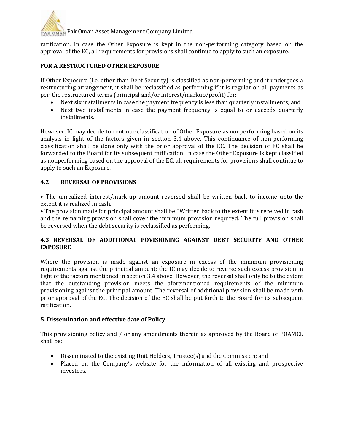

ratification. In case the Other Exposure is kept in the non-performing category based on the approval of the EC, all requirements for provisions shall continue to apply to such an exposure.

## **FOR A RESTRUCTURED OTHER EXPOSURE**

If Other Exposure (i.e. other than Debt Security) is classified as non-performing and it undergoes a restructuring arrangement, it shall be reclassified as performing if it is regular on all payments as per the restructured terms (principal and/or interest/markup/profit) for:

- Next six installments in case the payment frequency is less than quarterly installments; and
- Next two installments in case the payment frequency is equal to or exceeds quarterly installments.

However, IC may decide to continue classification of Other Exposure as nonperforming based on its analysis in light of the factors given in section 3.4 above. This continuance of non-performing classification shall be done only with the prior approval of the EC. The decision of EC shall be forwarded to the Board for its subsequent ratification. In case the Other Exposure is kept classified as nonperforming based on the approval of the EC, all requirements for provisions shall continue to apply to such an Exposure.

## **4.2 REVERSAL OF PROVISIONS**

• The unrealized interest/mark-up amount reversed shall be written back to income upto the extent it is realized in cash.

• The provision made for principal amount shall be ''Written back to the extent it is received in cash and the remaining provision shall cover the minimum provision required. The full provision shall be reversed when the debt security is reclassified as performing.

## **4.3 REVERSAL OF ADDITIONAL POVISIONING AGAINST DEBT SECURITY AND OTHER EXPOSURE**

Where the provision is made against an exposure in excess of the minimum provisioning requirements against the principal amount; the IC may decide to reverse such excess provision in light of the factors mentioned in section 3.4 above. However, the reversal shall only be to the extent that the outstanding provision meets the aforementioned requirements of the minimum provisioning against the principal amount. The reversal of additional provision shall be made with prior approval of the EC. The decision of the EC shall be put forth to the Board for its subsequent ratification.

## **5. Dissemination and effective date of Policy**

This provisioning policy and / or any amendments therein as approved by the Board of POAMCL shall be:

- Disseminated to the existing Unit Holders, Trustee(s) and the Commission; and
- Placed on the Company's website for the information of all existing and prospective investors.